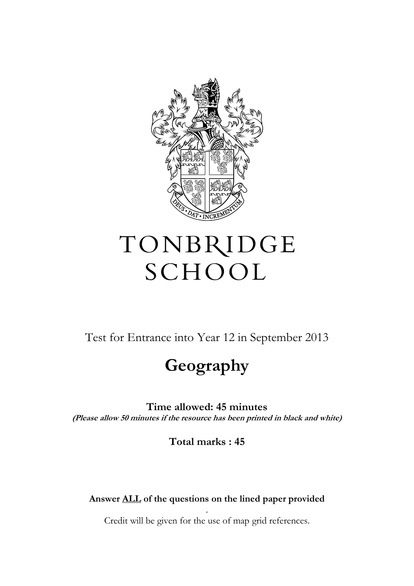

## TONBRIDGE SCHOOL

Test for Entrance into Year 12 in September 2013

## **Geography**

**Time allowed: 45 minutes (Please allow 50 minutes if the resource has been printed in black and white)**

**Total marks : 45** 

## **Answer ALL of the questions on the lined paper provided**

. Credit will be given for the use of map grid references.